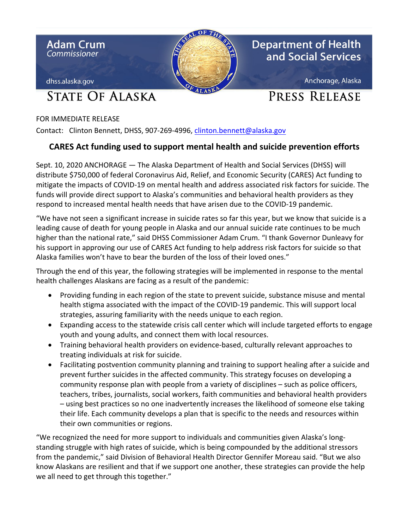

FOR IMMEDIATE RELEASE

Contact: Clinton Bennett, DHSS, 907-269-4996, [clinton.bennett@alaska.gov](mailto:clinton.bennett@alaska.gov)

## **CARES Act funding used to support mental health and suicide prevention efforts**

Sept. 10, 2020 ANCHORAGE — The Alaska Department of Health and Social Services (DHSS) will distribute \$750,000 of federal Coronavirus Aid, Relief, and Economic Security (CARES) Act funding to mitigate the impacts of COVID-19 on mental health and address associated risk factors for suicide. The funds will provide direct support to Alaska's communities and behavioral health providers as they respond to increased mental health needs that have arisen due to the COVID-19 pandemic.

"We have not seen a significant increase in suicide rates so far this year, but we know that suicide is a leading cause of death for young people in Alaska and our annual suicide rate continues to be much higher than the national rate," said DHSS Commissioner Adam Crum. "I thank Governor Dunleavy for his support in approving our use of CARES Act funding to help address risk factors for suicide so that Alaska families won't have to bear the burden of the loss of their loved ones."

Through the end of this year, the following strategies will be implemented in response to the mental health challenges Alaskans are facing as a result of the pandemic:

- Providing funding in each region of the state to prevent suicide, substance misuse and mental health stigma associated with the impact of the COVID-19 pandemic. This will support local strategies, assuring familiarity with the needs unique to each region.
- Expanding access to the statewide crisis call center which will include targeted efforts to engage youth and young adults, and connect them with local resources.
- Training behavioral health providers on evidence-based, culturally relevant approaches to treating individuals at risk for suicide.
- Facilitating postvention community planning and training to support healing after a suicide and prevent further suicides in the affected community. This strategy focuses on developing a community response plan with people from a variety of disciplines – such as police officers, teachers, tribes, journalists, social workers, faith communities and behavioral health providers – using best practices so no one inadvertently increases the likelihood of someone else taking their life. Each community develops a plan that is specific to the needs and resources within their own communities or regions.

"We recognized the need for more support to individuals and communities given Alaska's longstanding struggle with high rates of suicide, which is being compounded by the additional stressors from the pandemic," said Division of Behavioral Health Director Gennifer Moreau said. "But we also know Alaskans are resilient and that if we support one another, these strategies can provide the help we all need to get through this together."